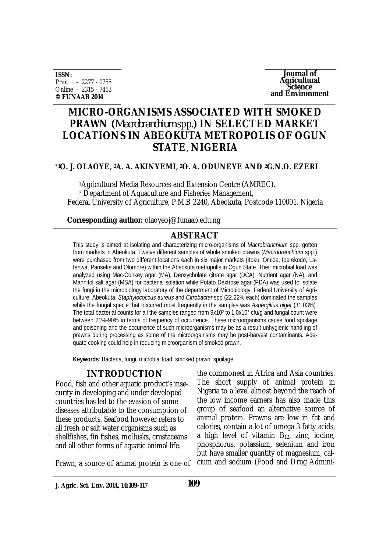**ISSN:** Print - 2277 - 0755 Online - 2315 - 7453 **© FUNAAB 2014**

**Journal of Agricultural Science and Environment**

# **MICRO-ORGANISMS ASSOCIATED WITH SMOKED PRAWN (***Macrobranchium* spp.**) IN SELECTED MARKET LOCATIONS IN ABEOKUTA METROPOLIS OF OGUN STATE**, **NIGERIA**

### **\*1O. J. OLAOYE, 2A. A. AKINYEMI, 2O. A. ODUNEYE AND 2G.N.O. EZERI**

<sup>1</sup>Agricultural Media Resources and Extension Centre (AMREC), <sup>2</sup> Department of Aquaculture and Fisheries Management, Federal University of Agriculture, P.M.B 2240, Abeokuta, Postcode 110001. Nigeria

**Corresponding author:** olaoyeoj@funaab.edu.ng

## **ABSTRACT**

This study is aimed at isolating and characterizing micro-organisms of *Macrobranchium* spp. gotten from markets in Abeokuta. Twelve different samples of whole smoked prawns (*Macrobranchium* spp.) were purchased from two different locations each in six major markets (Itoku, Omida, Iberekodo, Lafenwa, Panseke and Olomore) within the Abeokuta metropolis in Ogun State. Their microbial load was analyzed using Mac-Conkey agar (MA), Deoxycholate citrate agar (DCA), Nutrient agar (NA), and Mannitol salt agar (MSA) for bacteria isolation while Potato Dextrose agar (PDA) was used to isolate the fungi in the microbiology laboratory of the department of Microbiology, Federal University of Agriculture, Abeokuta. *Staphylococcus aureus* and *Citrobacter* spp (22.22% each) dominated the samples while the fungal specie that occurred most frequently in the samples was *Aspergillus niger* (31.03%). The total bacterial counts for all the samples ranged from  $9x10^2$  to 1.0x10<sup>3</sup> cfu/g and fungal count were between 21%-90% in terms of frequency of occurrence. These microorganisms cause food spoilage and poisoning and the occurrence of such microorganisms may be as a result unhygienic handling of prawns during processing as some of the microorganisms may be post-harvest contaminants. Adequate cooking could help in reducing microorganism of smoked prawn.

**Keywords**: Bacteria, fungi, microbial load, smoked prawn, spoilage.

## **INTRODUCTION**

Food, fish and other aquatic product's insecurity in developing and under developed countries has led to the evasion of some diseases attributable to the consumption of these products. Seafood however refers to all fresh or salt water organisms such as shellfishes, fin fishes, mollusks, crustaceans and all other forms of aquatic animal life.

the commonest in Africa and Asia countries. The short supply of animal protein in Nigeria to a level almost beyond the reach of the low income earners has also made this group of seafood an alternative source of animal protein. Prawns are low in fat and calories, contain a lot of omega-3 fatty acids, a high level of vitamin  $B_{12}$ , zinc, iodine, phosphorus, potassium, selenium and iron but have smaller quantity of magnesium, calcium and sodium (Food and Drug Admini-

Prawn, a source of animal protein is one of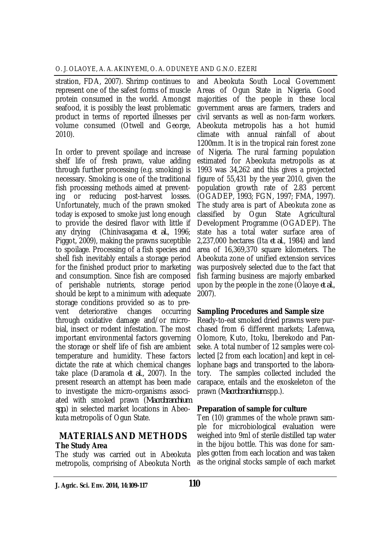stration, FDA, 2007). Shrimp continues to represent one of the safest forms of muscle protein consumed in the world. Amongst seafood, it is possibly the least problematic product in terms of reported illnesses per volume consumed (Otwell and George, 2010).

In order to prevent spoilage and increase shelf life of fresh prawn, value adding through further processing (e.g. smoking) is necessary. Smoking is one of the traditional fish processing methods aimed at preventing or reducing post-harvest losses. Unfortunately, much of the prawn smoked today is exposed to smoke just long enough to provide the desired flavor with little if any drying (Chinivasagama *et al.*, 1996; Piggot, 2009), making the prawns suceptible to spoilage. Processing of a fish species and shell fish inevitably entails a storage period for the finished product prior to marketing and consumption. Since fish are composed of perishable nutrients, storage period should be kept to a minimum with adequate storage conditions provided so as to prevent deteriorative changes occurring through oxidative damage and/or microbial, insect or rodent infestation. The most important environmental factors governing the storage or shelf life of fish are ambient temperature and humidity. These factors dictate the rate at which chemical changes take place (Daramola *et al.,* 2007). In the present research an attempt has been made to investigate the micro-organisms associated with smoked prawn (*Macrobranchium spp.*) in selected market locations in Abeokuta metropolis of Ogun State.

## **MATERIALS AND METHODS The Study Area**

The study was carried out in Abeokuta metropolis, comprising of Abeokuta North

and Abeokuta South Local Government Areas of Ogun State in Nigeria. Good majorities of the people in these local government areas are farmers, traders and civil servants as well as non-farm workers. Abeokuta metropolis has a hot humid climate with annual rainfall of about 1200mm. It is in the tropical rain forest zone of Nigeria. The rural farming population estimated for Abeokuta metropolis as at 1993 was 34,262 and this gives a projected figure of 55,431 by the year 2010, given the population growth rate of 2.83 percent (OGADEP, 1993; FGN, 1997; FMA, 1997). The study area is part of Abeokuta zone as classified by Ogun State Agricultural Development Programme (OGADEP). The state has a total water surface area of 2,237,000 hectares (Ita *et al*., 1984) and land area of 16,369,370 square kilometers. The Abeokuta zone of unified extension services was purposively selected due to the fact that fish farming business are majorly embarked upon by the people in the zone (Olaoye *et al.*, 2007).

## **Sampling Procedures and Sample size**

Ready-to-eat smoked dried prawns were purchased from 6 different markets; Lafenwa, Olomore, Kuto, Itoku, Iberekodo and Panseke. A total number of 12 samples were collected [2 from each location] and kept in cellophane bags and transported to the laboratory. The samples collected included the carapace, entails and the exoskeleton of the prawn (*Macrobranchium* spp.).

### **Preparation of sample for culture**

Ten (10) grammes of the whole prawn sample for microbiological evaluation were weighed into 9ml of sterile distilled tap water in the bijou bottle. This was done for samples gotten from each location and was taken as the original stocks sample of each market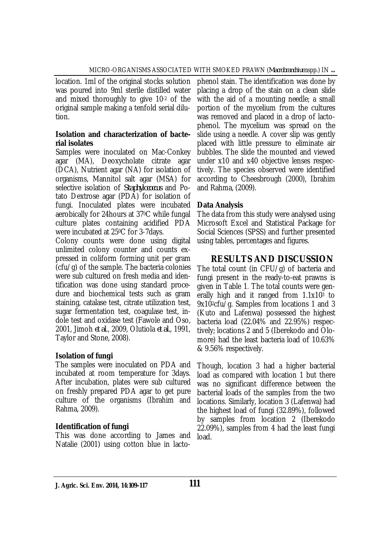location. 1ml of the original stocks solution was poured into 9ml sterile distilled water and mixed thoroughly to give 10-2 of the original sample making a tenfold serial dilution.

### **Isolation and characterization of bacterial isolates**

Samples were inoculated on Mac-Conkey agar (MA), Deoxycholate citrate agar (DCA), Nutrient agar (NA) for isolation of organisms, Mannitol salt agar (MSA) for selective isolation of *Staphylococcus* and Potato Dextrose agar (PDA) for isolation of fungi. Inoculated plates were incubated aerobically for 24hours at 370C while fungal culture plates containing acidified PDA were incubated at 250C for 3-7days.

Colony counts were done using digital unlimited colony counter and counts expressed in coliform forming unit per gram (cfu/g) of the sample. The bacteria colonies were sub cultured on fresh media and identification was done using standard procedure and biochemical tests such as gram staining, catalase test, citrate utilization test, sugar fermentation test, coagulase test, indole test and oxidase test (Fawole and Oso, 2001, Jimoh *et al*., 2009, Olutiola *et al.*, 1991, Taylor and Stone, 2008).

## **Isolation of fungi**

The samples were inoculated on PDA and incubated at room temperature for 3days. After incubation, plates were sub cultured on freshly prepared PDA agar to get pure culture of the organisms (Ibrahim and Rahma, 2009).

## **Identification of fungi**

This was done according to James and Natalie (2001) using cotton blue in lacto-

phenol stain. The identification was done by placing a drop of the stain on a clean slide with the aid of a mounting needle; a small portion of the mycelium from the cultures was removed and placed in a drop of lactophenol. The mycelium was spread on the slide using a needle. A cover slip was gently placed with little pressure to eliminate air bubbles. The slide the mounted and viewed under x10 and x40 objective lenses respectively. The species observed were identified according to Cheesbrough (2000), Ibrahim and Rahma, (2009).

## **Data Analysis**

The data from this study were analysed using Microsoft Excel and Statistical Package for Social Sciences (SPSS) and further presented using tables, percentages and figures.

## **RESULTS AND DISCUSSION**

The total count (in CFU/g) of bacteria and fungi present in the ready-to-eat prawns is given in Table 1. The total counts were generally high and it ranged from 1.1x10<sup>3</sup> to 9x102cfu/g. Samples from locations 1 and 3 (Kuto and Lafenwa) possessed the highest bacteria load (22.04% and 22.95%) respectively; locations 2 and 5 (Iberekodo and Olomore) had the least bacteria load of 10.63% & 9.56% respectively.

Though, location 3 had a higher bacterial load as compared with location 1 but there was no significant difference between the bacterial loads of the samples from the two locations. Similarly, location 3 (Lafenwa) had the highest load of fungi (32.89%), followed by samples from location 2 (Iberekodo 22.09%), samples from 4 had the least fungi load.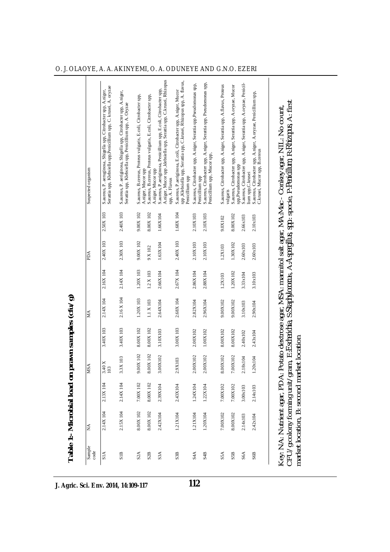| A.niger, Mucor spp ,klebsiella spp, Serattia spp, C.krusei, Rhizopus<br>spp , Klebsiella spp, Serattia spp, C.krusei, Rhizopus spp, A. flavus,<br>S.aureus, Citrobacter spp, A.niger, Serattia spp, Pseudomonas spp,<br>S.aureus, Citrobacter spp, A.niger, Serattia spp, A.oryzae, Penicil-<br>S.aureus, Citrobacter spp, A.niger, Serattia spp, Pseudomonas spp,<br>S.aureus, Citrobacter spp, A.niger, Serattia spp, A.flavus, Proteus<br>S.aureus, Citrobacter spp, A.niger, Serattia spp, A.oryzae, Mucor<br>Serattia spp, Klebsiella spp, Penicillium spp, C. krusei, A. oryzae<br>S.aureus, P.aeriginosa, Penicillium spp, E.coli, Citrobacter spp,<br>S.aureus, P. aeruginosa, Shigella spp, Citrobacter spp, A.niger,<br>S.aureus, P.aeriginosa, E.coli, Citrobacter spp, A.niger, Mucor<br>S.aureus, P. aeriginosa, Shigella spp, Citrobacter spp, A.niger,<br>S.aureus, Citrobacter spp, A.niger, A.oryzae, Penicillium spp,<br>S.aureus, B.cereus, Proteus vulgaris, E.coli, Citrobacter spp,<br>S.aureus, B.cereus, Proteus vulgaris, E.coli, Citrobacter spp,<br>Serattia spp, Klebsiella spp, Penicillium spp, A. Oryzae<br>C.krusei, Mucor spp, B.cereus<br>Penicillium spp, Mucor spp,<br>spp,Pseudomonas spp<br>A.niger, Mucor spp<br>A.niger, Mucor spp<br>lium spp,C.krusei<br>Penicillium spp<br>Penicillium spp<br>spp, A. Flavus<br>vulgaris<br>2.50X 103<br>2.40X 103<br>9.00X 102<br>8.00X 102<br>1.68X 104<br>1.66X104<br>2.10X103<br>2.10X103<br>8.00X102<br>2.66x103<br>2.10x103<br>9.0X102<br>2.40X 103<br>2.30X 103<br>2.40X 103<br>9.00X 102<br>1.63X104<br>2.10X103<br>1.30X102<br>2.10X103<br>2.60x103<br>2.60x103<br>1.2X103<br>9 X 102<br>2.16X 104<br>2.14X 104<br>1.20X 103<br>2.67X 104<br>2.66X104<br>2.86X104<br>1.2 X 103<br>1.20X102<br>2.88X104<br>3.33x104<br>3.10x103<br>1.2X103<br>2.16 X 104<br>2.14X 104<br>1.20X 103<br>2.68X 104<br>1.1 X 103<br>2.64X104<br>2.82X104<br>2.96X104<br>9.00X102<br>9.00X102<br>3.10x103<br>2.90x104<br>3.40X 103<br>3.40X 103<br>8.00X102<br>3.00X 103<br>8.00X 102<br>3.10X103<br>2.00X102<br>1.00X102<br>8.00X102<br>8.00X102<br>2.40x102<br>$2.43 \times 104$<br>9.00X 102<br>00X 102<br>2.00X102<br>3.00X102<br>2.00X102<br>8.00X102<br>7.00X102<br>3.3X 103<br>2.18x104<br>20x104<br>2.9X103<br>$\begin{array}{c} 3.40 \text{ X} \\ 103 \end{array}$<br>∞ं<br>2.14X 104<br>7.00X 102<br>8.00X 102<br>2.13X 104<br>7.00X102<br>2.39X104<br>1.24X104<br>1.22X104<br>2.43X104<br>7.00X102<br>3.00x103<br>2.14x103<br>2.15X104<br>2.14X 104<br>8.00X 102<br>8.00X 102<br>2.42X104<br>1.21X104<br>1.20X104<br>8.00X102<br>1.21X104<br>7.00X102<br>2.14x103<br>2.42x104<br>SIA<br>S <sub>2</sub> A<br>S3A<br>S <sub>4</sub> A<br>SSA<br>SSB<br>S6A<br>SIB<br>S <sub>2</sub> B<br>S3B<br>S4B<br>S6B | Potato dextrose agar, MSA: mannitol salt agar, MA:Mac - Conkey agar, NIL: No count,                                                                              | Sample<br>code | ΧÁ | <b>MSA</b> | МA | PDA | Suspected organism |
|-----------------------------------------------------------------------------------------------------------------------------------------------------------------------------------------------------------------------------------------------------------------------------------------------------------------------------------------------------------------------------------------------------------------------------------------------------------------------------------------------------------------------------------------------------------------------------------------------------------------------------------------------------------------------------------------------------------------------------------------------------------------------------------------------------------------------------------------------------------------------------------------------------------------------------------------------------------------------------------------------------------------------------------------------------------------------------------------------------------------------------------------------------------------------------------------------------------------------------------------------------------------------------------------------------------------------------------------------------------------------------------------------------------------------------------------------------------------------------------------------------------------------------------------------------------------------------------------------------------------------------------------------------------------------------------------------------------------------------------------------------------------------------------------------------------------------------------------------------------------------------------------------------------------------------------------------------------------------------------------------------------------------------------------------------------------------------------------------------------------------------------------------------------------------------------------------------------------------------------------------------------------------------------------------------------------------------------------------------------------------------------------------------------------------------------------------------------------------------------------------------------------------------------------------------------------------------------------------------------------------------------------------------------------------------------------------------------------------------------------------------------------------------------|------------------------------------------------------------------------------------------------------------------------------------------------------------------|----------------|----|------------|----|-----|--------------------|
|                                                                                                                                                                                                                                                                                                                                                                                                                                                                                                                                                                                                                                                                                                                                                                                                                                                                                                                                                                                                                                                                                                                                                                                                                                                                                                                                                                                                                                                                                                                                                                                                                                                                                                                                                                                                                                                                                                                                                                                                                                                                                                                                                                                                                                                                                                                                                                                                                                                                                                                                                                                                                                                                                                                                                                                   |                                                                                                                                                                  |                |    |            |    |     |                    |
|                                                                                                                                                                                                                                                                                                                                                                                                                                                                                                                                                                                                                                                                                                                                                                                                                                                                                                                                                                                                                                                                                                                                                                                                                                                                                                                                                                                                                                                                                                                                                                                                                                                                                                                                                                                                                                                                                                                                                                                                                                                                                                                                                                                                                                                                                                                                                                                                                                                                                                                                                                                                                                                                                                                                                                                   |                                                                                                                                                                  |                |    |            |    |     |                    |
|                                                                                                                                                                                                                                                                                                                                                                                                                                                                                                                                                                                                                                                                                                                                                                                                                                                                                                                                                                                                                                                                                                                                                                                                                                                                                                                                                                                                                                                                                                                                                                                                                                                                                                                                                                                                                                                                                                                                                                                                                                                                                                                                                                                                                                                                                                                                                                                                                                                                                                                                                                                                                                                                                                                                                                                   |                                                                                                                                                                  |                |    |            |    |     |                    |
|                                                                                                                                                                                                                                                                                                                                                                                                                                                                                                                                                                                                                                                                                                                                                                                                                                                                                                                                                                                                                                                                                                                                                                                                                                                                                                                                                                                                                                                                                                                                                                                                                                                                                                                                                                                                                                                                                                                                                                                                                                                                                                                                                                                                                                                                                                                                                                                                                                                                                                                                                                                                                                                                                                                                                                                   |                                                                                                                                                                  |                |    |            |    |     |                    |
|                                                                                                                                                                                                                                                                                                                                                                                                                                                                                                                                                                                                                                                                                                                                                                                                                                                                                                                                                                                                                                                                                                                                                                                                                                                                                                                                                                                                                                                                                                                                                                                                                                                                                                                                                                                                                                                                                                                                                                                                                                                                                                                                                                                                                                                                                                                                                                                                                                                                                                                                                                                                                                                                                                                                                                                   |                                                                                                                                                                  |                |    |            |    |     |                    |
|                                                                                                                                                                                                                                                                                                                                                                                                                                                                                                                                                                                                                                                                                                                                                                                                                                                                                                                                                                                                                                                                                                                                                                                                                                                                                                                                                                                                                                                                                                                                                                                                                                                                                                                                                                                                                                                                                                                                                                                                                                                                                                                                                                                                                                                                                                                                                                                                                                                                                                                                                                                                                                                                                                                                                                                   |                                                                                                                                                                  |                |    |            |    |     |                    |
|                                                                                                                                                                                                                                                                                                                                                                                                                                                                                                                                                                                                                                                                                                                                                                                                                                                                                                                                                                                                                                                                                                                                                                                                                                                                                                                                                                                                                                                                                                                                                                                                                                                                                                                                                                                                                                                                                                                                                                                                                                                                                                                                                                                                                                                                                                                                                                                                                                                                                                                                                                                                                                                                                                                                                                                   |                                                                                                                                                                  |                |    |            |    |     |                    |
|                                                                                                                                                                                                                                                                                                                                                                                                                                                                                                                                                                                                                                                                                                                                                                                                                                                                                                                                                                                                                                                                                                                                                                                                                                                                                                                                                                                                                                                                                                                                                                                                                                                                                                                                                                                                                                                                                                                                                                                                                                                                                                                                                                                                                                                                                                                                                                                                                                                                                                                                                                                                                                                                                                                                                                                   |                                                                                                                                                                  |                |    |            |    |     |                    |
|                                                                                                                                                                                                                                                                                                                                                                                                                                                                                                                                                                                                                                                                                                                                                                                                                                                                                                                                                                                                                                                                                                                                                                                                                                                                                                                                                                                                                                                                                                                                                                                                                                                                                                                                                                                                                                                                                                                                                                                                                                                                                                                                                                                                                                                                                                                                                                                                                                                                                                                                                                                                                                                                                                                                                                                   |                                                                                                                                                                  |                |    |            |    |     |                    |
|                                                                                                                                                                                                                                                                                                                                                                                                                                                                                                                                                                                                                                                                                                                                                                                                                                                                                                                                                                                                                                                                                                                                                                                                                                                                                                                                                                                                                                                                                                                                                                                                                                                                                                                                                                                                                                                                                                                                                                                                                                                                                                                                                                                                                                                                                                                                                                                                                                                                                                                                                                                                                                                                                                                                                                                   |                                                                                                                                                                  |                |    |            |    |     |                    |
|                                                                                                                                                                                                                                                                                                                                                                                                                                                                                                                                                                                                                                                                                                                                                                                                                                                                                                                                                                                                                                                                                                                                                                                                                                                                                                                                                                                                                                                                                                                                                                                                                                                                                                                                                                                                                                                                                                                                                                                                                                                                                                                                                                                                                                                                                                                                                                                                                                                                                                                                                                                                                                                                                                                                                                                   |                                                                                                                                                                  |                |    |            |    |     |                    |
|                                                                                                                                                                                                                                                                                                                                                                                                                                                                                                                                                                                                                                                                                                                                                                                                                                                                                                                                                                                                                                                                                                                                                                                                                                                                                                                                                                                                                                                                                                                                                                                                                                                                                                                                                                                                                                                                                                                                                                                                                                                                                                                                                                                                                                                                                                                                                                                                                                                                                                                                                                                                                                                                                                                                                                                   | CFU/g:colony forming unit/gram, E:Escherichia, S:Staphylococcus, A:Aspergillus, spp.: specie, P:Penicillum, R:Rhizopus, A: first<br>Key: NA: Nutrient agar, PDA: |                |    |            |    |     |                    |

O. J. OLAOYE, A. A. AKINYEMI, O. A. ODUNEYE AND G.N.O. EZERI

┱

**J. Agric. Sci. Env. 2014, 14:109-117**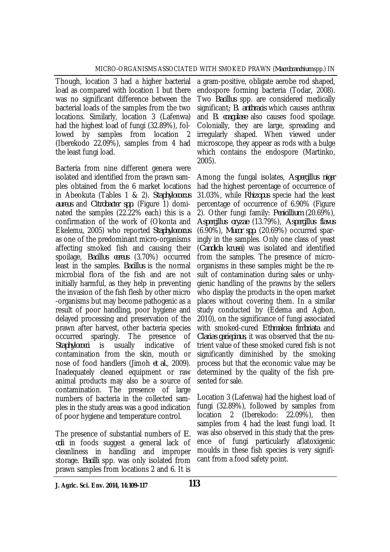Though, location 3 had a higher bacterial load as compared with location 1 but there was no significant difference between the bacterial loads of the samples from the two locations. Similarly, location 3 (Lafenwa) had the highest load of fungi (32.89%), followed by samples from location 2 (Iberekodo 22.09%), samples from 4 had the least fungi load.

Bacteria from nine different genera were isolated and identified from the prawn samples obtained from the 6 market locations in Abeokuta (Tables 1 & 2). *Staphylococcus aureus* and *Citrobacter spp*. (Figure 1) dominated the samples (22.22% each) this is a confirmation of the work of (Okonta and Ekelemu, 2005) who reported *Staphylococcus* as one of the predominant micro-organisms affecting smoked fish and causing their spoilage, *Bacillus cereus* (3.70%) occurred least in the samples. *Bacillus* is the normal microbial flora of the fish and are not initially harmful, as they help in preventing the invasion of the fish flesh by other micro -organisms but may become pathogenic as a result of poor handling, poor hygiene and delayed processing and preservation of the prawn after harvest, other bacteria species occurred sparingly. The presence of *Staphylococci* is usually indicative of contamination from the skin, mouth or nose of food handlers (Jimoh *et al.*, 2009). Inadequately cleaned equipment or raw animal products may also be a source of contamination. The presence of large numbers of bacteria in the collected samples in the study areas was a good indication of poor hygiene and temperature control.

The presence of substantial numbers of *E. coli* in foods suggest a general lack of cleanliness in handling and improper storage. *Bacilli* spp. was only isolated from prawn samples from locations 2 and 6. It is

a gram-positive, obligate aerobe rod shaped, endospore forming bacteria (Todar, 2008). Two *Bacillus* spp. are considered medically significant*; B. anthracis* which causes anthrax and *B. coagulase* also causes food spoilage. Colonially, they are large, spreading and irregularly shaped. When viewed under microscope, they appear as rods with a bulge which contains the endospore (Martinko, 2005).

Among the fungal isolates, *Aspergillus niger* had the highest percentage of occurrence of 31.03%, while *Rhizopus* specie had the least percentage of occurrence of 6.90% (Figure 2). Other fungi family: *Penicillium* (20.69%), *Aspergillus oryzae* (13.79%), *Aspergillus flavus*  (6.90%), *Mucor spp.* (20.69%) occurred sparingly in the samples. Only one class of yeast (*Candida krusei*) was isolated and identified from the samples. The presence of microorganisms in these samples might be the result of contamination during sales or unhygienic handling of the prawns by the sellers who display the products in the open market places without covering them. In a similar study conducted by (Edema and Agbon, 2010), on the significance of fungi associated with smoked-cured *Ethmalosa fimbriata* and *Clarias gariepinus*, it was observed that the nutrient value of these smoked cured fish is not significantly diminished by the smoking process but that the economic value may be determined by the quality of the fish presented for sale.

Location 3 (Lafenwa) had the highest load of fungi (32.89%), followed by samples from location 2 (Iberekodo: 22.09%), then samples from 4 had the least fungi load. It was also observed in this study that the presence of fungi particularly aflatoxigenic moulds in these fish species is very significant from a food safety point.

**J. Agric. Sci. Env. 2014, 14:109-117 113**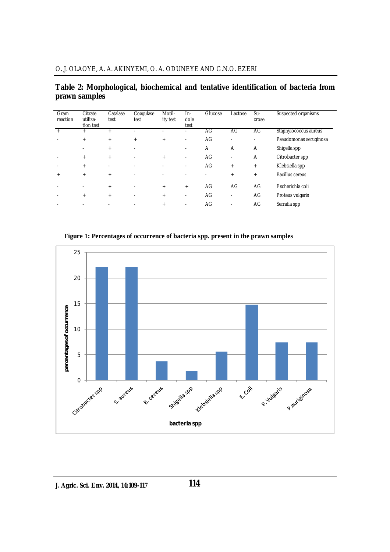### **Table 2: Morphological, biochemical and tentative identification of bacteria from prawn samples**

| Gram<br>reaction | Citrate<br>utiliza-<br>tion test | Catalase<br>test         | Coaqulase<br>test        | Motil-<br>ity test | In-<br>dole<br>test      | Glucose | Lactose | Su-<br>crose | Suspected organisms    |
|------------------|----------------------------------|--------------------------|--------------------------|--------------------|--------------------------|---------|---------|--------------|------------------------|
| $+$              | $+$                              | $+$                      |                          |                    |                          | AG      | AG      | AG           | Staphylococcus aureus  |
|                  | $+$                              | $+$                      | $+$                      | $+$                | $\overline{\phantom{a}}$ | AG      | ٠       | ٠            | Pseudomonas aeruginosa |
|                  |                                  | $^{+}$                   | $\overline{\phantom{a}}$ |                    | $\overline{\phantom{0}}$ | A       | A       | A            | Shigella spp           |
|                  | $+$                              | $+$                      | $\overline{\phantom{a}}$ | $+$                | ٠                        | AG      | ٠       | A            | Citrobacter spp        |
|                  | $+$                              | $\overline{\phantom{a}}$ | $\sim$                   |                    | $\overline{\phantom{0}}$ | AG      | $+$     | $^{+}$       | Klebsiella spp         |
| $^{+}$           | $+$                              | $+$                      | $\overline{\phantom{a}}$ |                    |                          |         | $+$     | $^{+}$       | Bacillus cereus        |
|                  |                                  | $+$                      | $\overline{\phantom{a}}$ | $+$                | $+$                      | AG      | AG      | AG           | Escherichia coli       |
|                  | $+$                              | $+$                      | $\overline{\phantom{a}}$ | $+$                |                          | AG      | ٠       | AG           | Proteus vulgaris       |
|                  |                                  |                          |                          | $+$                | ٠                        | AG      | ٠       | AG           | Serratia spp           |

**Figure 1: Percentages of occurrence of bacteria spp. present in the prawn samples**

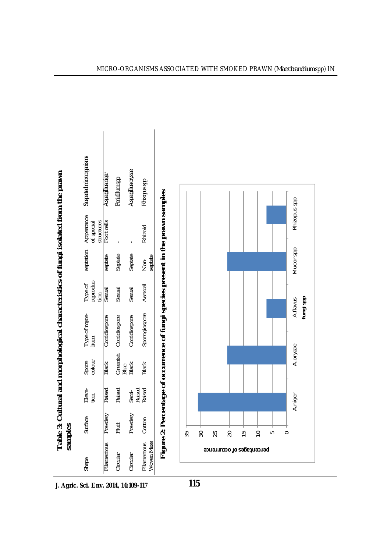|                                                                             | Suspected microorganisms                         | Aspergillus niger   | Penicillum spp   | Aspergillus oryzae | Rhizopus spp                     |                                                                                  |
|-----------------------------------------------------------------------------|--------------------------------------------------|---------------------|------------------|--------------------|----------------------------------|----------------------------------------------------------------------------------|
|                                                                             | septation Appearance<br>of special<br>structures | Foot cells          |                  |                    | Rhizoid                          |                                                                                  |
|                                                                             |                                                  | septate             | Septate          | Septate            | septate<br>mok<br>Nor            |                                                                                  |
|                                                                             | reproduc-<br>Type of<br>tion                     | Sexual              | Sexual           | Sexual             | Asexual                          |                                                                                  |
| Cultural and morphological characteristics of fungi isolated from the prawn | Type of myce-<br>lium                            | Conidiospore        | Conidiospore     | Conidiospore       | Sporogiospore                    | Figure 2: Percentage of occurrence of fungi species present in the prawn samples |
|                                                                             | Spore<br>colour                                  | Black               | Greenish<br>Blue | <b>Black</b>       | <b>Black</b>                     |                                                                                  |
|                                                                             | Eleva-<br>$t$ ion                                | Raised              | Raised           | Raised<br>Semi-    | Raised                           |                                                                                  |
| samples<br>Table 3:                                                         | Surface                                          |                     | Fluff            | Powdery            |                                  |                                                                                  |
|                                                                             | Shape                                            | Filamentous Powdery | Circular         | Circular           | Filamentous Cotton<br>Woven Mass |                                                                                  |



**J. Agric. Sci. Env. 2014, 14:109-117**

**115**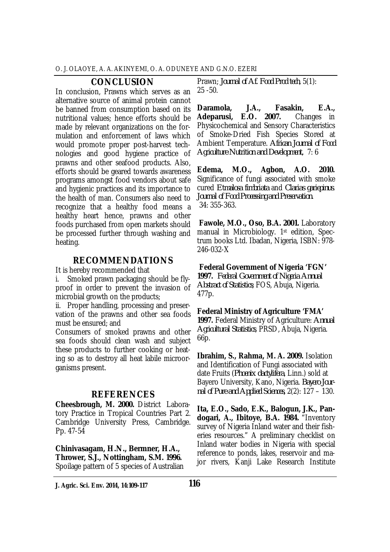#### **CONCLUSION**

In conclusion, Prawns which serves as an alternative source of animal protein cannot be banned from consumption based on its nutritional values; hence efforts should be made by relevant organizations on the formulation and enforcement of laws which would promote proper post-harvest technologies and good hygiene practice of prawns and other seafood products. Also, efforts should be geared towards awareness programs amongst food vendors about safe and hygienic practices and its importance to the health of man. Consumers also need to recognize that a healthy food means a healthy heart hence, prawns and other foods purchased from open markets should be processed further through washing and heating.

#### **RECOMMENDATIONS**

It is hereby recommended that

i. Smoked prawn packaging should be flyproof in order to prevent the invasion of microbial growth on the products;

ii. Proper handling, processing and preservation of the prawns and other sea foods must be ensured; and

Consumers of smoked prawns and other sea foods should clean wash and subject these products to further cooking or heating so as to destroy all heat labile microorganisms present.

### **REFERENCES**

**Cheesbrough, M. 2000.** District Laboratory Practice in Tropical Countries Part 2. Cambridge University Press, Cambridge. Pp. 47-54

**Chinivasagam, H.N., Bermner, H.A., Thrower, S.J., Nottingham, S.M. 1996.** Spoilage pattern of 5 species of Australian

Prawn; *Journal of Af. Food Prod tech*, 5(1): 25 -50.

**Daramola, J.A., Fasakin, E.A., Adeparusi, E.O. 2007.** Changes in Physicochemical and Sensory Characteristics of Smoke-Dried Fish Species Stored at Ambient Temperature. *African Journal of Food Agriculture Nutrition and Development,* 7: 6

**Edema, M.O., Agbon, A.O. 2010.** Significance of fungi associated with smoke cured *Etmalosa fimbriata* and *Clarias gariepinus*. *Journal of Food Processing and Preservation.* 34: 355-363.

**Fawole, M.O., Oso, B.A. 2001.** Laboratory manual in Microbiology. 1st edition, Spectrum books Ltd. Ibadan, Nigeria, ISBN: 978- 246-032-X

**Federal Government of Nigeria 'FGN'** 

**1997.** *Federal Government of Nigeria Annual Abstract of Statistics*; FOS, Abuja, Nigeria. 477p.

**Federal Ministry of Agriculture 'FMA' 1997.** Federal Ministry of Agriculture: *Annual Agricultural Statistics*, PRSD, Abuja, Nigeria. 66p.

**Ibrahim, S., Rahma, M. A. 2009.** Isolation and Identification of Fungi associated with date Fruits (*Phoenix dactylifera*, Linn.) sold at Bayero University, Kano, Nigeria. *Bayero Journal of Pure and Applied Sciences,* 2(2): 127 – 130.

**Ita, E.O., Sado, E.K., Balogun, J.K., Pandogari, A., Ibitoye, B.A. 1984.** "Inventory survey of Nigeria Inland water and their fisheries resources." A preliminary checklist on Inland water bodies in Nigeria with special reference to ponds, lakes, reservoir and major rivers, Kanji Lake Research Institute

**J. Agric. Sci. Env. 2014, 14:109-117 116**